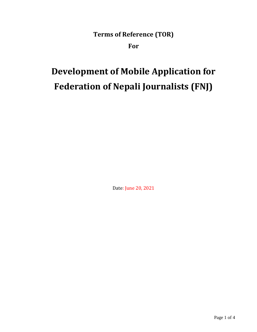**Terms of Reference (TOR)**

**For**

# **Development of Mobile Application for Federation of Nepali Journalists (FNJ)**

Date: June 20, 2021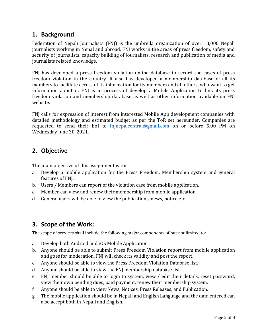# **1. Background**

Federation of Nepali Journalists (FNJ) is the umbrella organization of over 13,000 Nepali journalists working in Nepal and abroad. FNJ works in the areas of press freedom, safety and security of journalists, capacity building of journalists, research and publication of media and journalists related knowledge.

FNJ has developed a press freedom violation online database to record the cases of press freedom violation in the country. It also has developed a membership database of all its members to facilitate access of its information for its members and all others, who want to get information about it. FNJ is in process of develop a Mobile Application to link its press freedom violation and membership database as well as other information available on FNJ website.

FNJ calls for expression of interest from interested Mobile App development companies with detailed methodology and estimated budget as per the ToR set hereunder. Companies are requested to send their EoI to [fnjnepalcentral@gmail.com](mailto:fnjnepalcentral@gmail.com) on or before 5.00 PM on Wednesday June 30, 2021.

# **2. Objective**

The main objective of this assignment is to:

- a. Develop a mobile application for the Press Freedom, Membership system and general features of FNJ.
- b. Users / Members can report of the violation case from mobile application.
- c. Member can view and renew their membership from mobile application.
- d. General users will be able to view the publications, news, notice etc.

# **3. Scope of the Work:**

The scope of services shall include the following major components of but not limited to:

- a. Develop both Android and iOS Mobile Application.
- b. Anyone should be able to submit Press Freedom Violation report from mobile application and goes for moderation. FNJ will check its validity and post the report.
- c. Anyone should be able to view the Press Freedom Violation Database list.
- d. Anyone should be able to view the FNJ membership database list.
- e. FNJ member should be able to login to system, view / edit their details, reset password, view their own pending dues, paid payment, renew their membership system.
- f. Anyone should be able to view News, Notices, Press Releases, and Publication.
- g. The mobile application should be in Nepali and English Language and the data entered can also accept both in Nepali and English.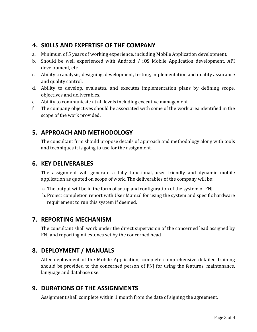## **4. SKILLS AND EXPERTISE OF THE COMPANY**

- a. Minimum of 5 years of working experience, including Mobile Application development.
- b. Should be well experienced with Android / iOS Mobile Application development, API development, etc.
- c. Ability to analysis, designing, development, testing, implementation and quality assurance and quality control.
- d. Ability to develop, evaluates, and executes implementation plans by defining scope, objectives and deliverables.
- e. Ability to communicate at all levels including executive management.
- f. The company objectives should be associated with some of the work area identified in the scope of the work provided.

## **5. APPROACH AND METHODOLOGY**

The consultant firm should propose details of approach and methodology along with tools and techniques it is going to use for the assignment.

#### **6. KEY DELIVERABLES**

The assignment will generate a fully functional, user friendly and dynamic mobile application as quoted on scope of work. The deliverables of the company will be:

- a. The output will be in the form of setup and configuration of the system of FNJ.
- b. Project completion report with User Manual for using the system and specific hardware requirement to run this system if deemed.

## **7. REPORTING MECHANISM**

The consultant shall work under the direct supervision of the concerned lead assigned by FNJ and reporting milestones set by the concerned head.

# **8. DEPLOYMENT / MANUALS**

After deployment of the Mobile Application, complete comprehensive detailed training should be provided to the concerned person of FNJ for using the features, maintenance, language and database use.

## **9. DURATIONS OF THE ASSIGNMENTS**

Assignment shall complete within 1 month from the date of signing the agreement.